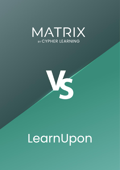



# LearnUpon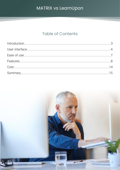### **Table of Contents**

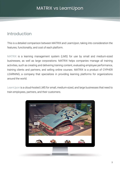### <span id="page-2-0"></span>Introduction

This is a detailed comparison between MATRIX and LearnUpon, taking into consideration the features, functionality, and cost of each platform.

MATRIX is a learning management system (LMS) for use by small and medium-sized businesses, as well as large corporations. MATRIX helps companies manage all training activities, such as creating and delivering training content, evaluating employee performance, training clients and partners, and selling online courses. MATRIX is a product of CYPHER LEARNING, a company that specializes in providing learning platforms for organizations around the world.

LearnUpon is a cloud-hosted LMS for small, medium-sized, and large businesses that need to train employees, partners, and their customers.

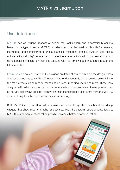### <span id="page-3-0"></span>User interface

MATRIX has an intuitive, responsive design that looks sharp and automatically adjusts based on the type of device. MATRIX provides attractive tile-based dashboards for learners, instructors, and administrators, and a graphical resources catalog. MATRIX also has a unique "activity display" feature that indicates the level of activity within courses and groups using a pulsing indicator on their tiles together with real-time widgets that scroll through the latest activities.

LearnUpon is also responsive and looks good on different screen sizes but the design is less attractive compared to MATRIX. The administrator dashboard is simplistic with quick links to the main areas such as reports, managing courses, importing users, and more. These links are grouped in editable boxes that can be re-ordered using drag-and-drop. LearnUpon also has an activity display available for learners on their dashboard but is different from the MATRIX version, it only lists the user's actions as an activity log.

Both MATRIX and LearnUpon allow administrators to change their dashboard by adding widgets that show reports, graphs, or activities. With the custom report widgets feature, MATRIX offers more customization possibilities and a better data visualization.

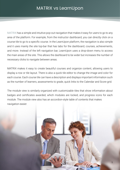MATRIX has a simple and intuitive pop-out navigation that makes it easy for users to go to any area of the platform. For example, from the instructor dashboard, you can directly click on a course tile to go to a specific course. In the LearnUpon platform, the navigation is also simple and it uses mainly the site top-bar that has tabs for the dashboard, courses, achievements, and more. Instead of the left navigation bar, LearnUpon uses a drop-down menu to access the main areas of the site. This allows the dashboard to be wider but increases the number of necessary clicks to navigate between areas.

MATRIX makes it easy to create beautiful courses and organize content, allowing users to display a row or tile layout. There is also a quick tile editor to change the image and color for each course. Each course tile can have a description and displays important information such as the number of learners, assessments to grade, quick links to the Calendar and Score grid.

The module view is similarly organized with customizable tiles that show information about badges and certificates awarded, which modules are locked, and progress icons for each module. The module view also has an accordion-style table of contents that makes navigation easier.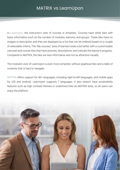In LearnUpon, the instructor's view of courses is simplistic. Courses have white tiles with basic information such as the number of modules, learners, and groups. These tiles have no images or description and they are displayed as a list that can be ordered based on a couple of selectable criteria. The "My courses" area of learners looks a bit better with a customizable carousel and course tiles that have pictures, descriptions, and indicate the learner's progress. Compared to MATRIX, the tiles are less informative and not as attractive visually.

The module's view of LearnUpon is even more simplistic without graphical tiles and a table of contents that is hard to navigate.

MATRIX offers support for 40+ languages, including right-to-left languages, and mobile apps for iOS and Android. LearnUpon supports 7 languages. It also doesn't have accessibility features such as high contrast themes or underlined links as MATRIX does, so all users can enjoy the platform.

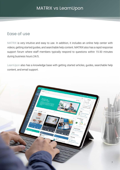### <span id="page-6-0"></span>Ease of use

MATRIX is very intuitive and easy to use. In addition, it includes an online help center with videos, getting started guides, and searchable help content. MATRIX also has a rapid response support forum where staff members typically respond to questions within 15-30 minutes during business hours 24/5.

LearnUpon also has a knowledge base with getting started articles, guides, searchable help content, and email support.

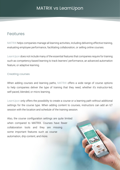### <span id="page-7-0"></span>Features

MATRIX helps companies manage all learning activities, including delivering effective training, evaluating employee performance, facilitating collaboration, or selling online courses.

LearnUpon does not include many of the essential features that companies require for training such as competency-based learning to track learners' performance, an advanced automation feature, or adaptive learning.

#### Creating courses

When adding courses and learning paths, MATRIX offers a wide range of course options to help companies deliver the type of training that they need, whether it's instructor-led, self-paced, blended, or micro learning.

LearnUpon only offers the possibility to create a course or a learning path without additional settings for the course type. When adding content to courses, instructors can add an ILT session with the location and schedule of the training session.

Also, the course configuration settings are quite limited when compared to MATRIX. Courses have fewer collaboration tools and they are missing some important features such as course automation, drip content, and more.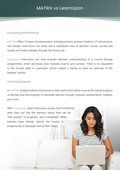#### Evaluating performance

MATRIX offers 15 types of assessments, including quizzes, surveys, Dropbox, LTI, discussions, and essays. Instructors can easily see a centralized view of learners' scores, quickly add results, and make changes through the Scores tab.

LearnUpon instructors can only evaluate learners' understanding of a course through assignments, which are essay type modules, exams, and surveys. There is no equivalent to the Scores table in LearnUpon which makes it harder to have an overview of the learners' results.

#### Tracking progress

In MATRIX, analytics allows instructors to view useful information such as the overall progress of learners and the progress of individual learners through modules, assessments, mastery, and more.

With LearnUpon, when instructors access the Enrollments area, they can see the learners' status that can be "Not started", "In progress", and "Completed". When learners have already started the course, a progress bar is displayed next to their status.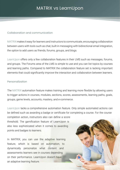#### Collaboration and communication

MATRIX makes it easy for learners and instructors to communicate, encouraging collaboration between users with tools such as chat, built-in messaging with bidirectional email integration, the option to add users as friends, forums, groups, and blogs.

LearnUpon offers only a few collaboration features in their LMS such as messages, forums, and groups. The Forums area of the LMS is simple to use and you can list topics by courses and learning paths. Compared to MATRIX the collaboration feature set is lacking important elements that could significantly improve the interaction and collaboration between learners.

#### Personalization

The MATRIX automation feature makes training and learning more flexible by allowing users to trigger actions in courses, modules, sections, scores, assessments, learning paths, goals, groups, game levels, accounts, mastery, and e-commerce.

LearnUpon lacks a comprehensive automation feature. Only simple automated actions can be defined such as awarding a badge or certificate for completing a course. For the course

10

completion action, instructors also can define a score threshold. The gamification feature of LearnUpon is also less sophisticated when it comes to awarding points and badges to learners.

In MATRIX, you can use the adaptive learning feature, which is based on automation, to dynamically personalize what content and assessments learners see in courses depending on their performance. LearnUpon doesn't have an adaptive learning feature.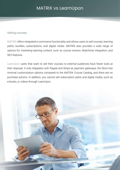#### Selling courses

MATRIX offers integrated e-commerce functionality and allows users to sell courses, learning paths, bundles, subscriptions, and digital media. MATRIX also provides a wide range of options for marketing learning content, such as course reviews, Mailchimp integration, and SEO features.

LearnUpon users that want to sell their courses to external audiences have fewer tools at their disposal. It only integrates with Paypal and Stripe as payment gateways, the Store has minimal customization options compared to the MATRIX Course Catalog, and there are no purchase actions. In addition, you cannot sell subscription plans and digital media, such as e-books, or videos through LearnUpon.

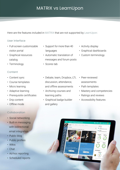Here are the features included in MATRIX that are not supported by LearnUpon:

#### User interface

- Full-screen customizable visitor portal
- Graphical resources catalog
- Terminology

#### **Content**

- Content sync
- Course templates
- Micro learning
- Adaptive learning
- Prerequisite certificates
- Drip content
- Offline mode

### **Collaboration**

- Social networking
- Built-in messaging with bidirectional email integration
- Public blog
- Public profiles
- Wikis
- Chat
- Ad-hoc reporting
- Scheduled reports
- Support for more than 40 languages
- Automatic translation of messages and forum posts
- Scores tab
- Activity display
- Graphical dashboards
- Custom terminology

- Debate, team, Dropbox, LTI, discussion, attendance, and offline assessments
- Archiving courses and learning paths
- Graphical badge builder and gallery
- Peer-reviewed assessments
- Path templates
- Mastery and competencies
- Ratings and reviews
- Accessibility features

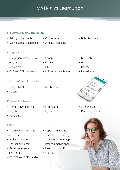#### E-commerce and marketing

- Selling digital media
- Selling subscription plans

#### • Course reviews

• Affiliate marketing

#### Integrations

- Integration with your own email server
- Mailchimp
- CCF and QTI standards

#### Web conferencing tools

- Google Meet
- Kaltura

### Payment gateways

- PayPal Payments Pro
- PayUbiz
- PayU Latam

#### **Other**

- Trash can for restoring deleted items
- Archiving learners
- Learner help desk
- Resell under your own brand
- LTI, QTI, and CCF standards
- 
- MS Immersive Reader
- Bulk discounts
- MS OneNote
- $\cdot$  Go1
- Udemy
- LinkedIn Learning



- Authorize.net
- Purchase orders



- MS Teams
- PagSeguro
- Flywire
- Super administrator, affiliate, and teaching assistant account types
- Branded mobile apps
- Use your own URL
- Waitlists

# • H5P

- 
- Panopto
	- CometChat
- 
-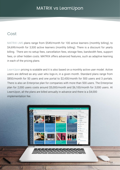### <span id="page-13-0"></span>Cost

MATRIX LMS plans range from \$549/month for 100 active learners (monthly billing), to \$4,699/month for 3,500 active learners (monthly billing). There is a discount for yearly billing. There are no setup fees, cancellation fees, storage fees, bandwidth fees, support fees, or other hidden costs. MATRIX offers advanced features, such as adaptive learning in each of the pricing plans.

LearnUpon pricing is scalable and it is also based on a monthly active user model. Active users are defined as any user who logs-in, in a given month. Standard plans range from \$850/month for 50 users and one portal to \$2,430/month for 500 users and 3 portals. There is also an Enterprise plan for companies with more than 500 users. The Enterprise plan for 2,000 users costs around \$5,000/month and \$6,100/month for 3,000 users. At LearnUpon, all the plans are billed annually in advance and there is a \$4,000 implementation fee.



514